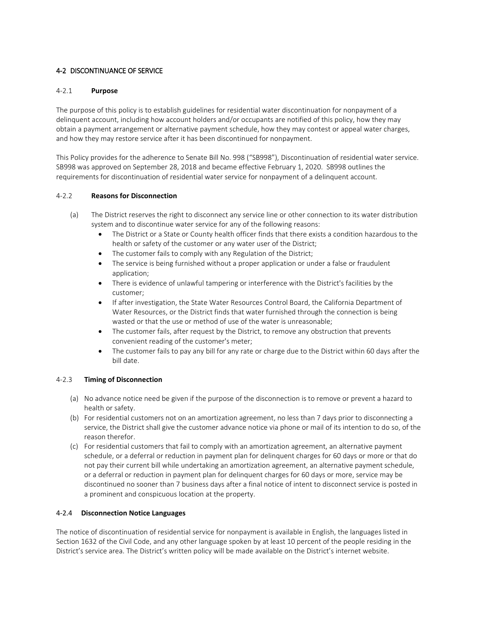# 4-2 DISCONTINUANCE OF SERVICE

# 4-2.1 **Purpose**

The purpose of this policy is to establish guidelines for residential water discontinuation for nonpayment of a delinquent account, including how account holders and/or occupants are notified of this policy, how they may obtain a payment arrangement or alternative payment schedule, how they may contest or appeal water charges, and how they may restore service after it has been discontinued for nonpayment.

This Policy provides for the adherence to Senate Bill No. 998 ("SB998"), Discontinuation of residential water service. SB998 was approved on September 28, 2018 and became effective February 1, 2020. SB998 outlines the requirements for discontinuation of residential water service for nonpayment of a delinquent account.

# 4-2.2 **Reasons for Disconnection**

- (a) The District reserves the right to disconnect any service line or other connection to its water distribution system and to discontinue water service for any of the following reasons:
	- The District or a State or County health officer finds that there exists a condition hazardous to the health or safety of the customer or any water user of the District;
	- The customer fails to comply with any Regulation of the District;
	- The service is being furnished without a proper application or under a false or fraudulent application;
	- There is evidence of unlawful tampering or interference with the District's facilities by the customer;
	- If after investigation, the State Water Resources Control Board, the California Department of Water Resources, or the District finds that water furnished through the connection is being wasted or that the use or method of use of the water is unreasonable;
	- The customer fails, after request by the District, to remove any obstruction that prevents convenient reading of the customer's meter;
	- The customer fails to pay any bill for any rate or charge due to the District within 60 days after the bill date.

# 4-2.3 **Timing of Disconnection**

- (a) No advance notice need be given if the purpose of the disconnection is to remove or prevent a hazard to health or safety.
- (b) For residential customers not on an amortization agreement, no less than 7 days prior to disconnecting a service, the District shall give the customer advance notice via phone or mail of its intention to do so, of the reason therefor.
- (c) For residential customers that fail to comply with an amortization agreement, an alternative payment schedule, or a deferral or reduction in payment plan for delinquent charges for 60 days or more or that do not pay their current bill while undertaking an amortization agreement, an alternative payment schedule, or a deferral or reduction in payment plan for delinquent charges for 60 days or more, service may be discontinued no sooner than 7 business days after a final notice of intent to disconnect service is posted in a prominent and conspicuous location at the property.

# 4-2.4 **Disconnection Notice Languages**

The notice of discontinuation of residential service for nonpayment is available in English, the languages listed in Section 1632 of the Civil Code, and any other language spoken by at least 10 percent of the people residing in the District's service area. The District's written policy will be made available on the District's internet website.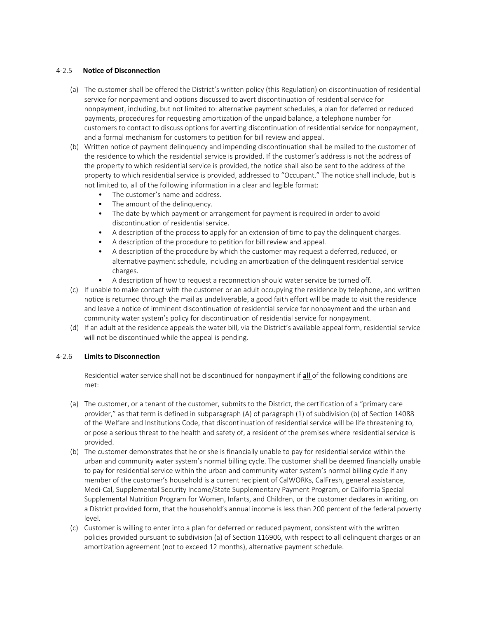# 4-2.5 **Notice of Disconnection**

- (a) The customer shall be offered the District's written policy (this Regulation) on discontinuation of residential service for nonpayment and options discussed to avert discontinuation of residential service for nonpayment, including, but not limited to: alternative payment schedules, a plan for deferred or reduced payments, procedures for requesting amortization of the unpaid balance, a telephone number for customers to contact to discuss options for averting discontinuation of residential service for nonpayment, and a formal mechanism for customers to petition for bill review and appeal.
- (b) Written notice of payment delinquency and impending discontinuation shall be mailed to the customer of the residence to which the residential service is provided. If the customer's address is not the address of the property to which residential service is provided, the notice shall also be sent to the address of the property to which residential service is provided, addressed to "Occupant." The notice shall include, but is not limited to, all of the following information in a clear and legible format:
	- The customer's name and address.
	- The amount of the delinquency.
	- The date by which payment or arrangement for payment is required in order to avoid discontinuation of residential service.
	- A description of the process to apply for an extension of time to pay the delinquent charges.
	- A description of the procedure to petition for bill review and appeal.
	- A description of the procedure by which the customer may request a deferred, reduced, or alternative payment schedule, including an amortization of the delinquent residential service charges.
	- A description of how to request a reconnection should water service be turned off.
- (c) If unable to make contact with the customer or an adult occupying the residence by telephone, and written notice is returned through the mail as undeliverable, a good faith effort will be made to visit the residence and leave a notice of imminent discontinuation of residential service for nonpayment and the urban and community water system's policy for discontinuation of residential service for nonpayment.
- (d) If an adult at the residence appeals the water bill, via the District's available appeal form, residential service will not be discontinued while the appeal is pending.

# 4-2.6 **Limits to Disconnection**

Residential water service shall not be discontinued for nonpayment if all of the following conditions are met:

- (a) The customer, or a tenant of the customer, submits to the District, the certification of a "primary care provider," as that term is defined in subparagraph (A) of paragraph (1) of subdivision (b) of Section 14088 of the Welfare and Institutions Code, that discontinuation of residential service will be life threatening to, or pose a serious threat to the health and safety of, a resident of the premises where residential service is provided.
- (b) The customer demonstrates that he or she is financially unable to pay for residential service within the urban and community water system's normal billing cycle. The customer shall be deemed financially unable to pay for residential service within the urban and community water system's normal billing cycle if any member of the customer's household is a current recipient of CalWORKs, CalFresh, general assistance, Medi-Cal, Supplemental Security Income/State Supplementary Payment Program, or California Special Supplemental Nutrition Program for Women, Infants, and Children, or the customer declares in writing, on a District provided form, that the household's annual income is less than 200 percent of the federal poverty level.
- (c) Customer is willing to enter into a plan for deferred or reduced payment, consistent with the written policies provided pursuant to subdivision (a) of Section 116906, with respect to all delinquent charges or an amortization agreement (not to exceed 12 months), alternative payment schedule.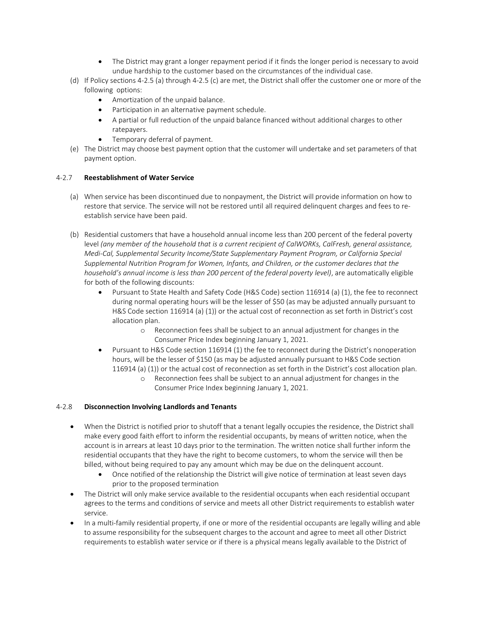- The District may grant a longer repayment period if it finds the longer period is necessary to avoid undue hardship to the customer based on the circumstances of the individual case.
- (d) If Policy sections 4-2.5 (a) through 4-2.5 (c) are met, the District shall offer the customer one or more of the following options:
	- Amortization of the unpaid balance.
	- Participation in an alternative payment schedule.
	- A partial or full reduction of the unpaid balance financed without additional charges to other ratepayers.
	- Temporary deferral of payment.
- (e) The District may choose best payment option that the customer will undertake and set parameters of that payment option.

# 4-2.7 **Reestablishment of Water Service**

- (a) When service has been discontinued due to nonpayment, the District will provide information on how to restore that service. The service will not be restored until all required delinquent charges and fees to reestablish service have been paid.
- (b) Residential customers that have a household annual income less than 200 percent of the federal poverty level *(any member of the household that is a current recipient of CalWORKs, CalFresh, general assistance, Medi-Cal, Supplemental Security Income/State Supplementary Payment Program, or California Special Supplemental Nutrition Program for Women, Infants, and Children, or the customer declares that the household's annual income is less than 200 percent of the federal poverty level)*, are automatically eligible for both of the following discounts:
	- Pursuant to State Health and Safety Code (H&S Code) section 116914 (a) (1), the fee to reconnect during normal operating hours will be the lesser of \$50 (as may be adjusted annually pursuant to H&S Code section 116914 (a) (1)) or the actual cost of reconnection as set forth in District's cost allocation plan.
		- o Reconnection fees shall be subject to an annual adjustment for changes in the Consumer Price Index beginning January 1, 2021.
	- Pursuant to H&S Code section 116914 (1) the fee to reconnect during the District's nonoperation hours, will be the lesser of \$150 (as may be adjusted annually pursuant to H&S Code section 116914 (a) (1)) or the actual cost of reconnection as set forth in the District's cost allocation plan.
		- o Reconnection fees shall be subject to an annual adjustment for changes in the Consumer Price Index beginning January 1, 2021.

# 4-2.8 **Disconnection Involving Landlords and Tenants**

- When the District is notified prior to shutoff that a tenant legally occupies the residence, the District shall make every good faith effort to inform the residential occupants, by means of written notice, when the account is in arrears at least 10 days prior to the termination. The written notice shall further inform the residential occupants that they have the right to become customers, to whom the service will then be billed, without being required to pay any amount which may be due on the delinquent account.
	- Once notified of the relationship the District will give notice of termination at least seven days prior to the proposed termination
- The District will only make service available to the residential occupants when each residential occupant agrees to the terms and conditions of service and meets all other District requirements to establish water service.
- In a multi-family residential property, if one or more of the residential occupants are legally willing and able to assume responsibility for the subsequent charges to the account and agree to meet all other District requirements to establish water service or if there is a physical means legally available to the District of